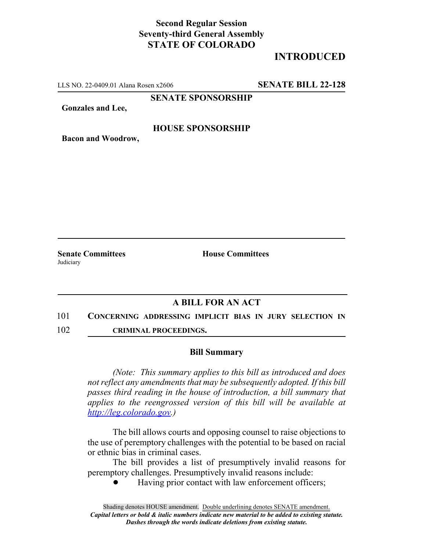## **Second Regular Session Seventy-third General Assembly STATE OF COLORADO**

# **INTRODUCED**

LLS NO. 22-0409.01 Alana Rosen x2606 **SENATE BILL 22-128**

**SENATE SPONSORSHIP**

**Gonzales and Lee,**

### **HOUSE SPONSORSHIP**

**Bacon and Woodrow,**

**Senate Committees House Committees Judiciary** 

### **A BILL FOR AN ACT**

#### 101 **CONCERNING ADDRESSING IMPLICIT BIAS IN JURY SELECTION IN**

102 **CRIMINAL PROCEEDINGS.**

#### **Bill Summary**

*(Note: This summary applies to this bill as introduced and does not reflect any amendments that may be subsequently adopted. If this bill passes third reading in the house of introduction, a bill summary that applies to the reengrossed version of this bill will be available at http://leg.colorado.gov.)*

The bill allows courts and opposing counsel to raise objections to the use of peremptory challenges with the potential to be based on racial or ethnic bias in criminal cases.

The bill provides a list of presumptively invalid reasons for peremptory challenges. Presumptively invalid reasons include:

Having prior contact with law enforcement officers;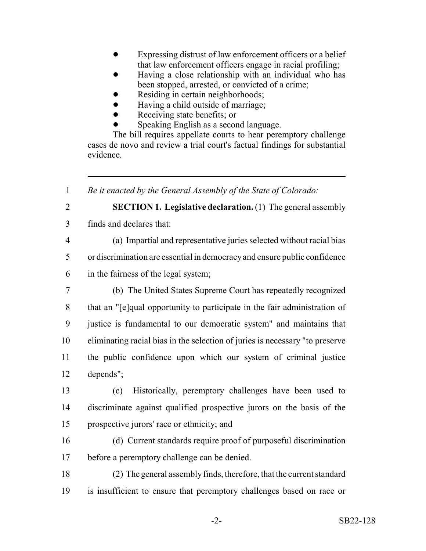- Expressing distrust of law enforcement officers or a belief that law enforcement officers engage in racial profiling;
- ! Having a close relationship with an individual who has been stopped, arrested, or convicted of a crime;
- Residing in certain neighborhoods;
- ! Having a child outside of marriage;
- Receiving state benefits; or
- Speaking English as a second language.

The bill requires appellate courts to hear peremptory challenge cases de novo and review a trial court's factual findings for substantial evidence.

*Be it enacted by the General Assembly of the State of Colorado:*

**SECTION 1. Legislative declaration.** (1) The general assembly

- finds and declares that:
- 

(a) Impartial and representative juries selected without racial bias

or discrimination are essential in democracy and ensure public confidence

- in the fairness of the legal system;
- (b) The United States Supreme Court has repeatedly recognized that an "[e]qual opportunity to participate in the fair administration of justice is fundamental to our democratic system" and maintains that eliminating racial bias in the selection of juries is necessary "to preserve the public confidence upon which our system of criminal justice depends";

 (c) Historically, peremptory challenges have been used to discriminate against qualified prospective jurors on the basis of the prospective jurors' race or ethnicity; and

 (d) Current standards require proof of purposeful discrimination before a peremptory challenge can be denied.

 (2) The general assembly finds, therefore, that the current standard is insufficient to ensure that peremptory challenges based on race or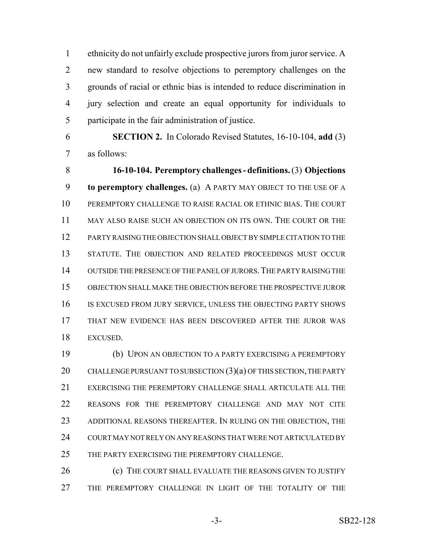ethnicity do not unfairly exclude prospective jurors from juror service. A new standard to resolve objections to peremptory challenges on the grounds of racial or ethnic bias is intended to reduce discrimination in jury selection and create an equal opportunity for individuals to participate in the fair administration of justice.

 **SECTION 2.** In Colorado Revised Statutes, 16-10-104, **add** (3) as follows:

 **16-10-104. Peremptory challenges - definitions.** (3) **Objections to peremptory challenges.** (a) A PARTY MAY OBJECT TO THE USE OF A PEREMPTORY CHALLENGE TO RAISE RACIAL OR ETHNIC BIAS. THE COURT MAY ALSO RAISE SUCH AN OBJECTION ON ITS OWN. THE COURT OR THE PARTY RAISING THE OBJECTION SHALL OBJECT BY SIMPLE CITATION TO THE STATUTE. THE OBJECTION AND RELATED PROCEEDINGS MUST OCCUR OUTSIDE THE PRESENCE OF THE PANEL OF JURORS.THE PARTY RAISING THE OBJECTION SHALL MAKE THE OBJECTION BEFORE THE PROSPECTIVE JUROR 16 IS EXCUSED FROM JURY SERVICE, UNLESS THE OBJECTING PARTY SHOWS THAT NEW EVIDENCE HAS BEEN DISCOVERED AFTER THE JUROR WAS EXCUSED.

 (b) UPON AN OBJECTION TO A PARTY EXERCISING A PEREMPTORY 20 CHALLENGE PURSUANT TO SUBSECTION  $(3)(a)$  OF THIS SECTION, THE PARTY EXERCISING THE PEREMPTORY CHALLENGE SHALL ARTICULATE ALL THE REASONS FOR THE PEREMPTORY CHALLENGE AND MAY NOT CITE ADDITIONAL REASONS THEREAFTER. IN RULING ON THE OBJECTION, THE COURT MAY NOT RELY ON ANY REASONS THAT WERE NOT ARTICULATED BY 25 THE PARTY EXERCISING THE PEREMPTORY CHALLENGE.

26 (c) THE COURT SHALL EVALUATE THE REASONS GIVEN TO JUSTIFY THE PEREMPTORY CHALLENGE IN LIGHT OF THE TOTALITY OF THE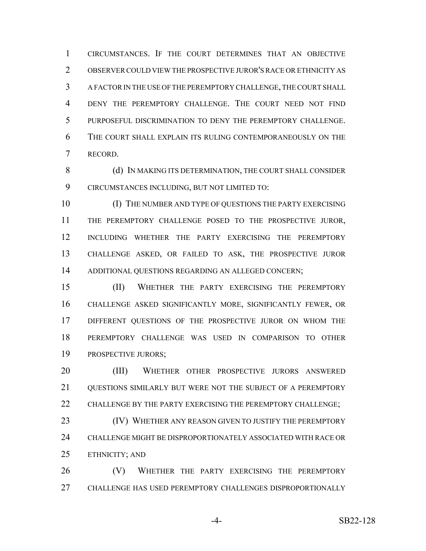CIRCUMSTANCES. IF THE COURT DETERMINES THAT AN OBJECTIVE OBSERVER COULD VIEW THE PROSPECTIVE JUROR'S RACE OR ETHNICITY AS A FACTOR IN THE USE OF THE PEREMPTORY CHALLENGE, THE COURT SHALL DENY THE PEREMPTORY CHALLENGE. THE COURT NEED NOT FIND PURPOSEFUL DISCRIMINATION TO DENY THE PEREMPTORY CHALLENGE. THE COURT SHALL EXPLAIN ITS RULING CONTEMPORANEOUSLY ON THE RECORD.

8 (d) IN MAKING ITS DETERMINATION, THE COURT SHALL CONSIDER CIRCUMSTANCES INCLUDING, BUT NOT LIMITED TO:

 (I) THE NUMBER AND TYPE OF QUESTIONS THE PARTY EXERCISING THE PEREMPTORY CHALLENGE POSED TO THE PROSPECTIVE JUROR, INCLUDING WHETHER THE PARTY EXERCISING THE PEREMPTORY CHALLENGE ASKED, OR FAILED TO ASK, THE PROSPECTIVE JUROR ADDITIONAL QUESTIONS REGARDING AN ALLEGED CONCERN;

 (II) WHETHER THE PARTY EXERCISING THE PEREMPTORY CHALLENGE ASKED SIGNIFICANTLY MORE, SIGNIFICANTLY FEWER, OR DIFFERENT QUESTIONS OF THE PROSPECTIVE JUROR ON WHOM THE PEREMPTORY CHALLENGE WAS USED IN COMPARISON TO OTHER PROSPECTIVE JURORS;

 (III) WHETHER OTHER PROSPECTIVE JURORS ANSWERED 21 OUESTIONS SIMILARLY BUT WERE NOT THE SUBJECT OF A PEREMPTORY 22 CHALLENGE BY THE PARTY EXERCISING THE PEREMPTORY CHALLENGE:

**(IV) WHETHER ANY REASON GIVEN TO JUSTIFY THE PEREMPTORY**  CHALLENGE MIGHT BE DISPROPORTIONATELY ASSOCIATED WITH RACE OR ETHNICITY; AND

26 (V) WHETHER THE PARTY EXERCISING THE PEREMPTORY CHALLENGE HAS USED PEREMPTORY CHALLENGES DISPROPORTIONALLY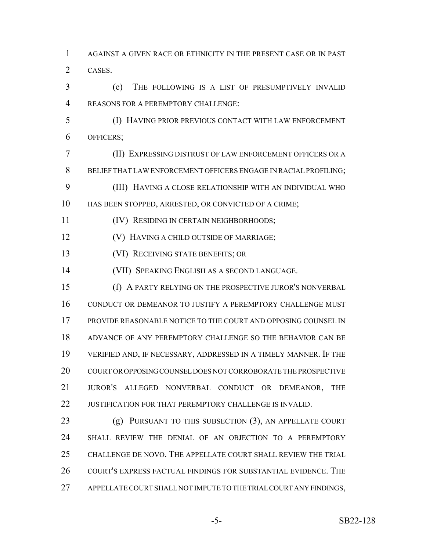AGAINST A GIVEN RACE OR ETHNICITY IN THE PRESENT CASE OR IN PAST CASES.

 (e) THE FOLLOWING IS A LIST OF PRESUMPTIVELY INVALID REASONS FOR A PEREMPTORY CHALLENGE:

 (I) HAVING PRIOR PREVIOUS CONTACT WITH LAW ENFORCEMENT OFFICERS;

 (II) EXPRESSING DISTRUST OF LAW ENFORCEMENT OFFICERS OR A BELIEF THAT LAW ENFORCEMENT OFFICERS ENGAGE IN RACIAL PROFILING; (III) HAVING A CLOSE RELATIONSHIP WITH AN INDIVIDUAL WHO

HAS BEEN STOPPED, ARRESTED, OR CONVICTED OF A CRIME;

(IV) RESIDING IN CERTAIN NEIGHBORHOODS;

(V) HAVING A CHILD OUTSIDE OF MARRIAGE;

(VI) RECEIVING STATE BENEFITS; OR

(VII) SPEAKING ENGLISH AS A SECOND LANGUAGE.

 (f) A PARTY RELYING ON THE PROSPECTIVE JUROR'S NONVERBAL CONDUCT OR DEMEANOR TO JUSTIFY A PEREMPTORY CHALLENGE MUST PROVIDE REASONABLE NOTICE TO THE COURT AND OPPOSING COUNSEL IN ADVANCE OF ANY PEREMPTORY CHALLENGE SO THE BEHAVIOR CAN BE VERIFIED AND, IF NECESSARY, ADDRESSED IN A TIMELY MANNER. IF THE COURT OR OPPOSING COUNSEL DOES NOT CORROBORATE THE PROSPECTIVE JUROR'S ALLEGED NONVERBAL CONDUCT OR DEMEANOR, THE 22 JUSTIFICATION FOR THAT PEREMPTORY CHALLENGE IS INVALID.

23 (g) PURSUANT TO THIS SUBSECTION (3), AN APPELLATE COURT SHALL REVIEW THE DENIAL OF AN OBJECTION TO A PEREMPTORY CHALLENGE DE NOVO. THE APPELLATE COURT SHALL REVIEW THE TRIAL 26 COURT'S EXPRESS FACTUAL FINDINGS FOR SUBSTANTIAL EVIDENCE. THE APPELLATE COURT SHALL NOT IMPUTE TO THE TRIAL COURT ANY FINDINGS,